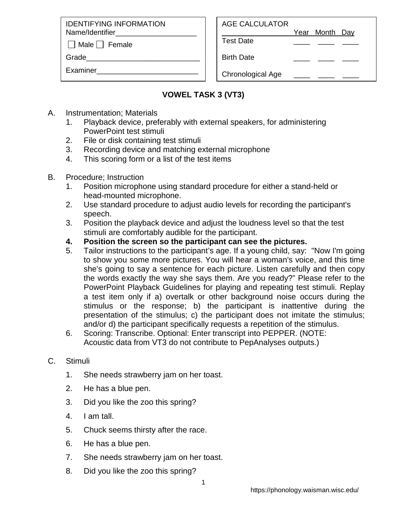IDENTIFYING INFORMATION Name/Identifier

 $\Box$  Male  $\Box$  Female

Grade

Examiner\_\_\_\_\_\_\_\_\_\_\_\_\_\_\_\_\_\_\_\_\_\_\_\_\_

Year Month Day

Test Date \_\_\_\_ \_\_\_\_ \_\_\_\_

Birth Date

Chronological Age

## **VOWEL TASK 3 (VT3)**

- A. Instrumentation; Materials
	- 1. Playback device, preferably with external speakers, for administering PowerPoint test stimuli
	- 2. File or disk containing test stimuli
	- 3. Recording device and matching external microphone
	- 4. This scoring form or a list of the test items
- B. Procedure; Instruction
	- 1. Position microphone using standard procedure for either a stand-held or head-mounted microphone.
	- 2. Use standard procedure to adjust audio levels for recording the participant's speech.
	- 3. Position the playback device and adjust the loudness level so that the test stimuli are comfortably audible for the participant.
	- **4. Position the screen so the participant can see the pictures.**
	- 5. Tailor instructions to the participant's age. If a young child, say: "Now I'm going to show you some more pictures. You will hear a woman's voice, and this time she's going to say a sentence for each picture. Listen carefully and then copy the words exactly the way she says them. Are you ready?" Please refer to the PowerPoint Playback Guidelines for playing and repeating test stimuli. Replay a test item only if a) overtalk or other background noise occurs during the stimulus or the response; b) the participant is inattentive during the presentation of the stimulus; c) the participant does not imitate the stimulus; and/or d) the participant specifically requests a repetition of the stimulus.
	- 6. Scoring: Transcribe. Optional: Enter transcript into PEPPER. (NOTE: Acoustic data from VT3 do not contribute to PepAnalyses outputs.)

## C. Stimuli

- 1. She needs strawberry jam on her toast.
- 2. He has a blue pen.
- 3. Did you like the zoo this spring?
- 4. I am tall.
- 5. Chuck seems thirsty after the race.
- 6. He has a blue pen.
- 7. She needs strawberry jam on her toast.
- 8. Did you like the zoo this spring?